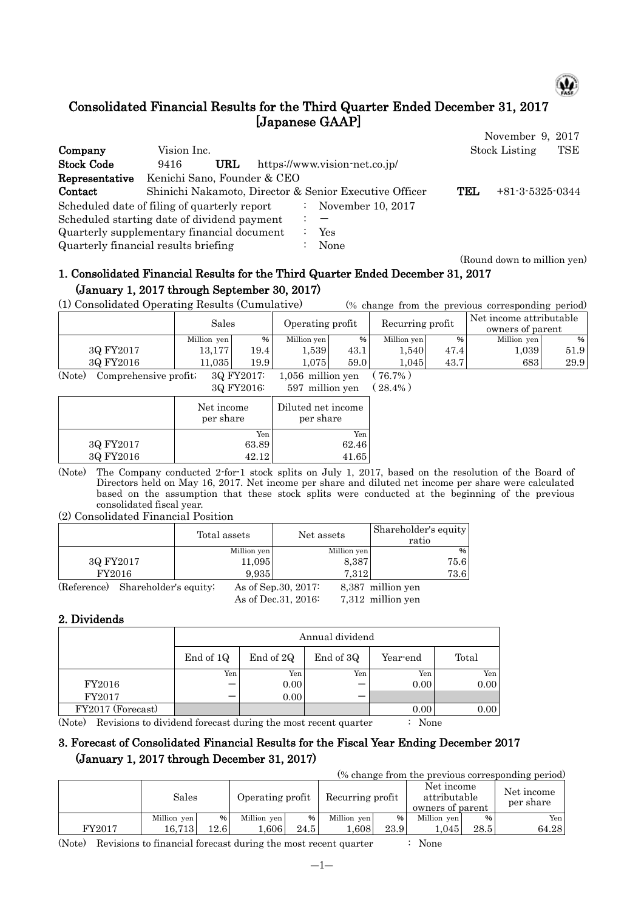

# Consolidated Financial Results for the Third Quarter Ended December 31, 2017 [Japanese GAAP]

|                                              |                             |     |                      |                                                        |     | November 9, 2017            |
|----------------------------------------------|-----------------------------|-----|----------------------|--------------------------------------------------------|-----|-----------------------------|
| Company                                      | Vision Inc.                 |     |                      |                                                        |     | <b>Stock Listing</b><br>TSE |
| <b>Stock Code</b>                            | 9416                        | URL |                      | https://www.vision-net.co.jp/                          |     |                             |
| Representative                               | Kenichi Sano, Founder & CEO |     |                      |                                                        |     |                             |
| Contact                                      |                             |     |                      | Shinichi Nakamoto, Director & Senior Executive Officer | TEL | $+81-3-5325-0344$           |
| Scheduled date of filing of quarterly report |                             |     | $\ddot{\phantom{0}}$ | November 10, 2017                                      |     |                             |
| Scheduled starting date of dividend payment  |                             |     |                      |                                                        |     |                             |
| Quarterly supplementary financial document   |                             |     |                      | Yes                                                    |     |                             |
| Quarterly financial results briefing         |                             |     |                      | None                                                   |     |                             |

#### (Round down to million yen)

# 1. Consolidated Financial Results for the Third Quarter Ended December 31, 2017 (January 1, 2017 through September 30, 2017)

(1) Consolidated Operating Results (Cumulative) (% change from the previous corresponding period)

|           | Sales       |      | Operating profit |      | Recurring profit |      | Net income attributable<br>owners of parent |      |
|-----------|-------------|------|------------------|------|------------------|------|---------------------------------------------|------|
|           | Million yen | %    | Million yen      | %    | Million yen      | %    | Million yen                                 | %    |
| 3Q FY2017 | 13.177      | 19.4 | .539             | 43.1 | . . 540 .        | 47.4 | 1,039                                       | 51.9 |
| 3Q FY2016 | 1.035       | 19.9 | .075             | 59.0 | .045             | 43.7 | 683                                         | 29.9 |
| $\sim -$  |             |      |                  |      |                  |      |                                             |      |

(Note) Comprehensive profit;  $3Q FY2017$ : 1,056 million yen ( 76.7%)<br> $3Q FY2016$ : 597 million yen ( 28.4%)  $597$  million yen  $(28.4\%)$ 

|           | 00T12010                | $001$ mining $\sqrt{2}$         |
|-----------|-------------------------|---------------------------------|
|           | Net income<br>per share | Diluted net income<br>per share |
|           | Yen                     | Yen                             |
| 3Q FY2017 | 63.89                   | 62.46                           |
| 3Q FY2016 | 42.12                   | 41.65                           |
|           |                         |                                 |

(Note) The Company conducted 2-for-1 stock splits on July 1, 2017, based on the resolution of the Board of Directors held on May 16, 2017. Net income per share and diluted net income per share were calculated based on the assumption that these stock splits were conducted at the beginning of the previous consolidated fiscal year.

#### (2) Consolidated Financial Position

|             |                       | Total assets |             | Net assets           |             | Shareholder's equity<br>ratio |
|-------------|-----------------------|--------------|-------------|----------------------|-------------|-------------------------------|
|             |                       |              | Million yen |                      | Million yen | %                             |
| 3Q FY2017   |                       |              | 11,095      |                      | 8,387       | 75.6                          |
|             | FY2016                |              | 9,935       |                      | 7.312       | 73.6                          |
| (Reference) | Shareholder's equity; |              |             | As of Sep. 30, 2017: |             | 8,387 million yen             |
|             |                       |              |             | As of Dec. 31, 2016: |             | 7,312 million yen             |

### 2. Dividends

|                   |           | Annual dividend |           |          |       |  |  |  |  |  |  |
|-------------------|-----------|-----------------|-----------|----------|-------|--|--|--|--|--|--|
|                   | End of 1Q | End of 2Q       | End of 3Q | Year-end | Total |  |  |  |  |  |  |
|                   | Yen       | Yen             | Yen       | Yen      | Yen   |  |  |  |  |  |  |
| FY2016            |           | 0.00            |           | 0.00     | 0.00  |  |  |  |  |  |  |
| FY2017            |           | 0.00            |           |          |       |  |  |  |  |  |  |
| FY2017 (Forecast) |           |                 |           | 0.00     | 0.00  |  |  |  |  |  |  |

(Note) Revisions to dividend forecast during the most recent quarter : None

## 3. Forecast of Consolidated Financial Results for the Fiscal Year Ending December 2017 (January 1, 2017 through December 31, 2017)

(% change from the previous corresponding period)

|        | Sales       |     | Operating profit |      | Recurring profit |      | Net income<br>attributable<br>owners of parent |      | Net income<br>per share |
|--------|-------------|-----|------------------|------|------------------|------|------------------------------------------------|------|-------------------------|
|        | Million ven | %   | Million yen      | %    | Million yen      | %    | Million yen                                    | $\%$ | Yen                     |
| FY2017 | 16.713      | 2.6 | .606             | 24.5 | 0.608            | 23.9 | .045                                           | 28.5 | 64.28                   |

(Note) Revisions to financial forecast during the most recent quarter : None